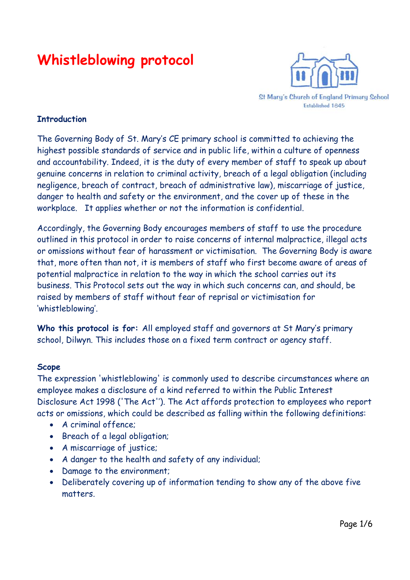# **Whistleblowing protocol**



#### **Introduction**

The Governing Body of St. Mary's CE primary school is committed to achieving the highest possible standards of service and in public life, within a culture of openness and accountability. Indeed, it is the duty of every member of staff to speak up about genuine concerns in relation to criminal activity, breach of a legal obligation (including negligence, breach of contract, breach of administrative law), miscarriage of justice, danger to health and safety or the environment, and the cover up of these in the workplace. It applies whether or not the information is confidential.

Accordingly, the Governing Body encourages members of staff to use the procedure outlined in this protocol in order to raise concerns of internal malpractice, illegal acts or omissions without fear of harassment or victimisation. The Governing Body is aware that, more often than not, it is members of staff who first become aware of areas of potential malpractice in relation to the way in which the school carries out its business. This Protocol sets out the way in which such concerns can, and should, be raised by members of staff without fear of reprisal or victimisation for 'whistleblowing'.

**Who this protocol is for:** All employed staff and governors at St Mary's primary school, Dilwyn. This includes those on a fixed term contract or agency staff.

#### **Scope**

The expression 'whistleblowing' is commonly used to describe circumstances where an employee makes a disclosure of a kind referred to within the Public Interest Disclosure Act 1998 ('The Act''). The Act affords protection to employees who report acts or omissions, which could be described as falling within the following definitions:

- A criminal offence;
- Breach of a legal obligation;
- A miscarriage of justice;
- A danger to the health and safety of any individual;
- Damage to the environment;
- Deliberately covering up of information tending to show any of the above five matters.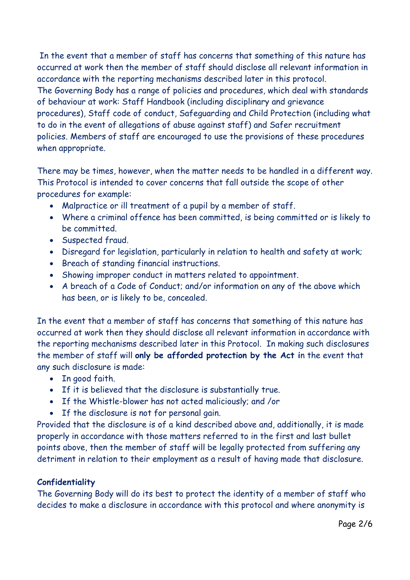In the event that a member of staff has concerns that something of this nature has occurred at work then the member of staff should disclose all relevant information in accordance with the reporting mechanisms described later in this protocol. The Governing Body has a range of policies and procedures, which deal with standards of behaviour at work: Staff Handbook (including disciplinary and grievance procedures), Staff code of conduct, Safeguarding and Child Protection (including what to do in the event of allegations of abuse against staff) and Safer recruitment policies. Members of staff are encouraged to use the provisions of these procedures when appropriate.

There may be times, however, when the matter needs to be handled in a different way. This Protocol is intended to cover concerns that fall outside the scope of other procedures for example:

- Malpractice or ill treatment of a pupil by a member of staff.
- Where a criminal offence has been committed, is being committed or is likely to be committed.
- Suspected fraud.
- Disregard for legislation, particularly in relation to health and safety at work;
- Breach of standing financial instructions.
- Showing improper conduct in matters related to appointment.
- A breach of a Code of Conduct; and/or information on any of the above which has been, or is likely to be, concealed.

In the event that a member of staff has concerns that something of this nature has occurred at work then they should disclose all relevant information in accordance with the reporting mechanisms described later in this Protocol. In making such disclosures the member of staff will **only be afforded protection by the Act i**n the event that any such disclosure is made:

- In good faith.
- If it is believed that the disclosure is substantially true.
- If the Whistle-blower has not acted maliciously; and /or
- If the disclosure is not for personal gain.

Provided that the disclosure is of a kind described above and, additionally, it is made properly in accordance with those matters referred to in the first and last bullet points above, then the member of staff will be legally protected from suffering any detriment in relation to their employment as a result of having made that disclosure.

# **Confidentiality**

The Governing Body will do its best to protect the identity of a member of staff who decides to make a disclosure in accordance with this protocol and where anonymity is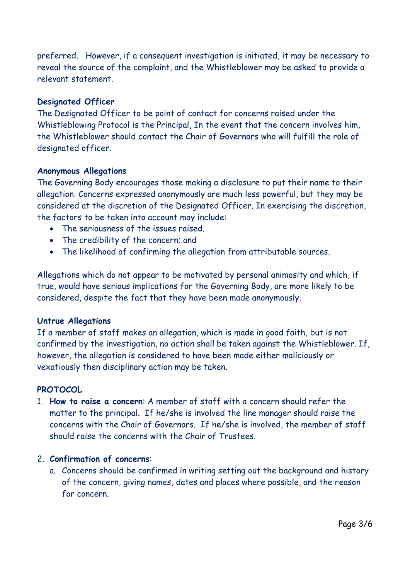preferred. However, if a consequent investigation is initiated, it may be necessary to reveal the source of the complaint, and the Whistleblower may be asked to provide a relevant statement.

# **Designated Officer**

The Designated Officer to be point of contact for concerns raised under the Whistleblowing Protocol is the Principal, In the event that the concern involves him, the Whistleblower should contact the Chair of Governors who will fulfill the role of designated officer.

#### **Anonymous Allegations**

The Governing Body encourages those making a disclosure to put their name to their allegation. Concerns expressed anonymously are much less powerful, but they may be considered at the discretion of the Designated Officer. In exercising the discretion, the factors to be taken into account may include:

- The seriousness of the issues raised.
- The credibility of the concern; and
- The likelihood of confirming the allegation from attributable sources.

Allegations which do not appear to be motivated by personal animosity and which, if true, would have serious implications for the Governing Body, are more likely to be considered, despite the fact that they have been made anonymously.

#### **Untrue Allegations**

If a member of staff makes an allegation, which is made in good faith, but is not confirmed by the investigation, no action shall be taken against the Whistleblower. If, however, the allegation is considered to have been made either maliciously or vexatiously then disciplinary action may be taken.

#### **PROTOCOL**

1. **How to raise a concern**: A member of staff with a concern should refer the matter to the principal. If he/she is involved the line manager should raise the concerns with the Chair of Governors. If he/she is involved, the member of staff should raise the concerns with the Chair of Trustees.

#### 2. **Confirmation of concerns**:

a. Concerns should be confirmed in writing setting out the background and history of the concern, giving names, dates and places where possible, and the reason for concern.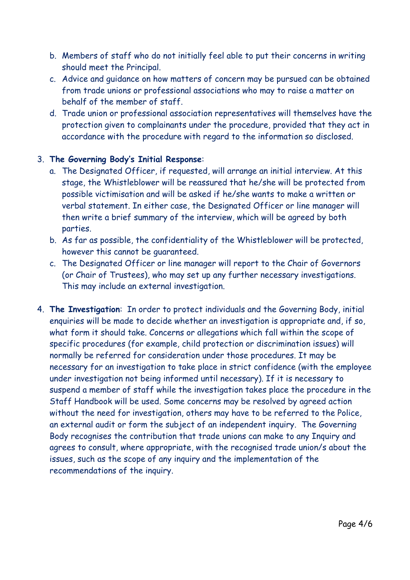- b. Members of staff who do not initially feel able to put their concerns in writing should meet the Principal.
- c. Advice and guidance on how matters of concern may be pursued can be obtained from trade unions or professional associations who may to raise a matter on behalf of the member of staff.
- d. Trade union or professional association representatives will themselves have the protection given to complainants under the procedure, provided that they act in accordance with the procedure with regard to the information so disclosed.

# 3. **The Governing Body's Initial Response**:

- a. The Designated Officer, if requested, will arrange an initial interview. At this stage, the Whistleblower will be reassured that he/she will be protected from possible victimisation and will be asked if he/she wants to make a written or verbal statement. In either case, the Designated Officer or line manager will then write a brief summary of the interview, which will be agreed by both parties.
- b. As far as possible, the confidentiality of the Whistleblower will be protected, however this cannot be guaranteed.
- c. The Designated Officer or line manager will report to the Chair of Governors (or Chair of Trustees), who may set up any further necessary investigations. This may include an external investigation.
- 4. **The Investigation**: In order to protect individuals and the Governing Body, initial enquiries will be made to decide whether an investigation is appropriate and, if so, what form it should take. Concerns or allegations which fall within the scope of specific procedures (for example, child protection or discrimination issues) will normally be referred for consideration under those procedures. It may be necessary for an investigation to take place in strict confidence (with the employee under investigation not being informed until necessary). If it is necessary to suspend a member of staff while the investigation takes place the procedure in the Staff Handbook will be used. Some concerns may be resolved by agreed action without the need for investigation, others may have to be referred to the Police, an external audit or form the subject of an independent inquiry. The Governing Body recognises the contribution that trade unions can make to any Inquiry and agrees to consult, where appropriate, with the recognised trade union/s about the issues, such as the scope of any inquiry and the implementation of the recommendations of the inquiry.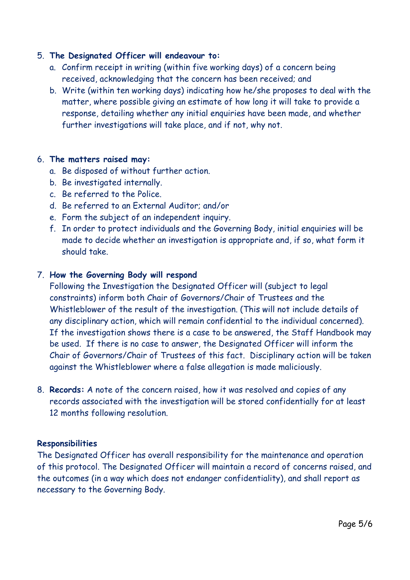## 5. **The Designated Officer will endeavour to:**

- a. Confirm receipt in writing (within five working days) of a concern being received, acknowledging that the concern has been received; and
- b. Write (within ten working days) indicating how he/she proposes to deal with the matter, where possible giving an estimate of how long it will take to provide a response, detailing whether any initial enquiries have been made, and whether further investigations will take place, and if not, why not.

#### 6. **The matters raised may:**

- a. Be disposed of without further action.
- b. Be investigated internally.
- c. Be referred to the Police.
- d. Be referred to an External Auditor; and/or
- e. Form the subject of an independent inquiry.
- f. In order to protect individuals and the Governing Body, initial enquiries will be made to decide whether an investigation is appropriate and, if so, what form it should take.

#### 7. **How the Governing Body will respond**

Following the Investigation the Designated Officer will (subject to legal constraints) inform both Chair of Governors/Chair of Trustees and the Whistleblower of the result of the investigation. (This will not include details of any disciplinary action, which will remain confidential to the individual concerned). If the investigation shows there is a case to be answered, the Staff Handbook may be used. If there is no case to answer, the Designated Officer will inform the Chair of Governors/Chair of Trustees of this fact. Disciplinary action will be taken against the Whistleblower where a false allegation is made maliciously.

8. **Records:** A note of the concern raised, how it was resolved and copies of any records associated with the investigation will be stored confidentially for at least 12 months following resolution.

#### **Responsibilities**

The Designated Officer has overall responsibility for the maintenance and operation of this protocol. The Designated Officer will maintain a record of concerns raised, and the outcomes (in a way which does not endanger confidentiality), and shall report as necessary to the Governing Body.